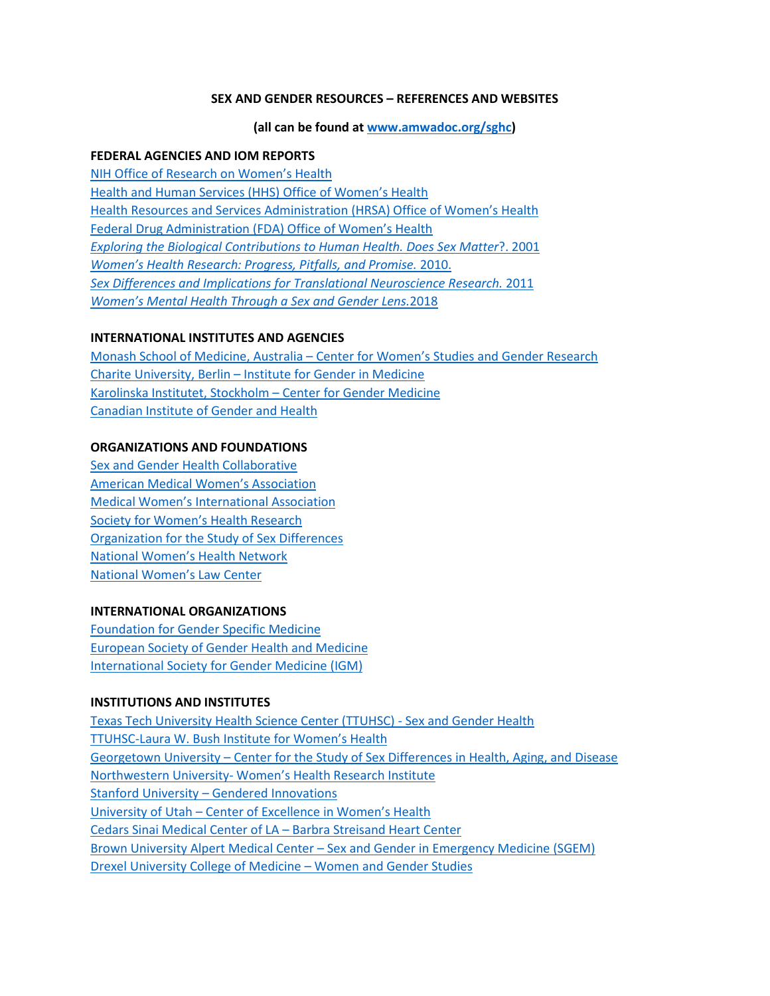## **SEX AND GENDER RESOURCES – REFERENCES AND WEBSITES**

#### **(all can be found at [www.amwadoc.org/sghc\)](http://www.amwadoc.org/sghc)**

### **FEDERAL AGENCIES AND IOM REPORTS**

[NIH Office of Research on Women's Health](https://orwh.od.nih.gov/) [Health and Human Services \(HHS\) Office of Women's Health](https://www.womenshealth.gov/) [Health Resources and Services Administration \(HRSA\) Office of Women's Health](http://www.hrsa.gov/about/organization/bureaus/owh) [Federal Drug Administration \(FDA\) Office of Women's Health](http://www.fda.gov/about-fda/office-commissioner/office-womens-health) *[Exploring the Biological Contributions to Human Health. Does Sex Matter](https://www.nap.edu/catalog/10028/exploring-the-biological-contributions-to-human-health-does-sex-matter)*?. 2001 *[Women's Health Research: Progress, Pitfalls, and Promise.](https://www.nap.edu/catalog/12908/womens-health-research-progress-pitfalls-and-promise)* 2010. *[Sex Differences and Implications for Translational Neuroscience Research.](https://www.nap.edu/catalog/13004/sex-differences-and-implications-for-translational-neuroscience-research-workshop-summary)* 2011 *[Women's Mental Health Through a Sex and Gender Lens.](https://www.nap.edu/catalog/25113/womens-mental-health-across-the-life-course-through-a-sex-gender-lens)*2018

### **INTERNATIONAL INSTITUTES AND AGENCIES**

Monash School of Medicine, Australia – [Center for Women's Studies and Gender Research](https://arts.monash.edu/social-sciences/womens-and-gender-studies) Charite University, Berlin – [Institute for Gender in Medicine](https://gender.charite.de/en/about_gim/) [Karolinska Institutet, Stockholm –](https://ki.se/en/research/centre-for-gender-medicine) Center for Gender Medicine [Canadian Institute of Gender and Health](http://www.cihr-irsc.gc.ca/e/8673.html)

## **ORGANIZATIONS AND FOUNDATIONS**

[Sex and Gender Health Collaborative](http://www.amwa-doc.org/sghc) [American Medical Women's Association](http://www.amwa-doc.org/) [Medical Women's International Association](https://mwia.net/) [Society for Women's Health Research](https://swhr.org/) [Organization for the Study of Sex Differences](http://www.ossdweb.org/) [National Women's Health Network](https://www.nwhn.org/) [National Women's Law Center](http://www.nwlc.org/)

#### **INTERNATIONAL ORGANIZATIONS**

[Foundation for Gender Specific Medicine](http://www.gendermed.org/) [European Society of Gender Health and Medicine](http://www.gendermedicine.org/) [International Society for Gender Medicine \(IGM\)](http://www.gendermed.org/the-international-society-for-gender-medicine)

#### **INSTITUTIONS AND INSTITUTES**

[Texas Tech University Health Science Center \(TTUHSC\) -](http://www.sexandgenderhealth.org/) Sex and Gender Health [TTUHSC-Laura W. Bush Institute for Women's Health](http://www.laurabushinstitute.org/) Georgetown University – [Center for the Study of Sex Differences](https://csd.georgetown.edu/) in Health, Aging, and Disease Northwestern University- [Women's Health Research Institute](https://www.womenshealth.northwestern.edu/) Stanford University – [Gendered Innovations](https://genderedinnovations.stanford.edu/) University of Utah – [Center of Excellence in Women's Health](https://uofuhealth.utah.edu/coe-womens-health) [Cedars Sinai Medical Center of LA –](https://www.cedars-sinai.edu/About-Us/HH-Landing-Pages/With-philanthropic-leadership-by-Barbra-Streisand-center-battles-a-leading-killer-of-women-heart-disease.aspx) Barbra Streisand Heart Center Brown University Alpert Medical Center – [Sex and Gender in Emergency Medicine \(SGEM\)](https://www.brown.edu/about/administration/biomed/women-in-medicine-and-science/sex-and-gender-emergency-medicine-sgem) [Drexel University College of Medicine –](https://drexel.edu/coas/academics/departments-centers/global-studies-modern-languages/degrees-programs/womens-and-gender-studies/) Women and Gender Studies